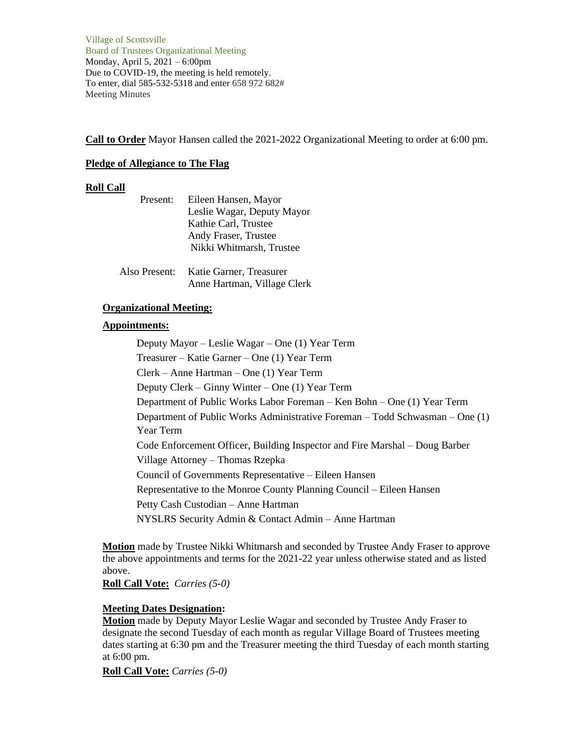Village of Scottsville Board of Trustees Organizational Meeting Monday, April 5, 2021 – 6:00pm Due to COVID-19, the meeting is held remotely. To enter, dial 585-532-5318 and enter 658 972 682# Meeting Minutes

**Call to Order** Mayor Hansen called the 2021-2022 Organizational Meeting to order at 6:00 pm.

# **Pledge of Allegiance to The Flag**

# **Roll Call**

| Present:      | Eileen Hansen, Mayor<br>Leslie Wagar, Deputy Mayor<br>Kathie Carl, Trustee<br>Andy Fraser, Trustee |
|---------------|----------------------------------------------------------------------------------------------------|
|               | Nikki Whitmarsh, Trustee                                                                           |
| Also Present: | Katie Garner, Treasurer<br>Anne Hartman, Village Clerk                                             |

# **Organizational Meeting:**

# **Appointments:**

Deputy Mayor – Leslie Wagar – One (1) Year Term Treasurer – Katie Garner – One (1) Year Term Clerk – Anne Hartman – One (1) Year Term Deputy Clerk – Ginny Winter – One (1) Year Term Department of Public Works Labor Foreman – Ken Bohn – One (1) Year Term Department of Public Works Administrative Foreman – Todd Schwasman – One (1) Year Term Code Enforcement Officer, Building Inspector and Fire Marshal – Doug Barber Village Attorney – Thomas Rzepka Council of Governments Representative – Eileen Hansen Representative to the Monroe County Planning Council – Eileen Hansen Petty Cash Custodian – Anne Hartman NYSLRS Security Admin & Contact Admin – Anne Hartman

**Motion** made by Trustee Nikki Whitmarsh and seconded by Trustee Andy Fraser to approve the above appointments and terms for the 2021-22 year unless otherwise stated and as listed above.

**Roll Call Vote:** *Carries (5-0)*

# **Meeting Dates Designation:**

**Motion** made by Deputy Mayor Leslie Wagar and seconded by Trustee Andy Fraser to designate the second Tuesday of each month as regular Village Board of Trustees meeting dates starting at 6:30 pm and the Treasurer meeting the third Tuesday of each month starting at 6:00 pm.

**Roll Call Vote:** *Carries (5-0)*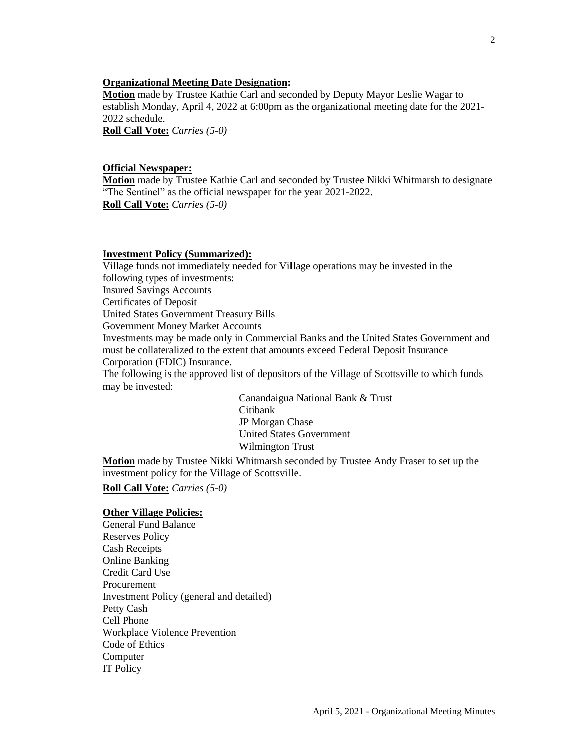## **Organizational Meeting Date Designation:**

**Motion** made by Trustee Kathie Carl and seconded by Deputy Mayor Leslie Wagar to establish Monday, April 4, 2022 at 6:00pm as the organizational meeting date for the 2021- 2022 schedule.

**Roll Call Vote:** *Carries (5-0)*

### **Official Newspaper:**

**Motion** made by Trustee Kathie Carl and seconded by Trustee Nikki Whitmarsh to designate "The Sentinel" as the official newspaper for the year 2021-2022. **Roll Call Vote:** *Carries (5-0)*

#### **Investment Policy (Summarized):**

Village funds not immediately needed for Village operations may be invested in the following types of investments: Insured Savings Accounts Certificates of Deposit United States Government Treasury Bills Government Money Market Accounts Investments may be made only in Commercial Banks and the United States Government and must be collateralized to the extent that amounts exceed Federal Deposit Insurance Corporation (FDIC) Insurance.

The following is the approved list of depositors of the Village of Scottsville to which funds may be invested:

> Canandaigua National Bank & Trust Citibank JP Morgan Chase United States Government Wilmington Trust

**Motion** made by Trustee Nikki Whitmarsh seconded by Trustee Andy Fraser to set up the investment policy for the Village of Scottsville.

**Roll Call Vote:** *Carries (5-0)*

### **Other Village Policies:**

General Fund Balance Reserves Policy Cash Receipts Online Banking Credit Card Use Procurement Investment Policy (general and detailed) Petty Cash Cell Phone Workplace Violence Prevention Code of Ethics Computer IT Policy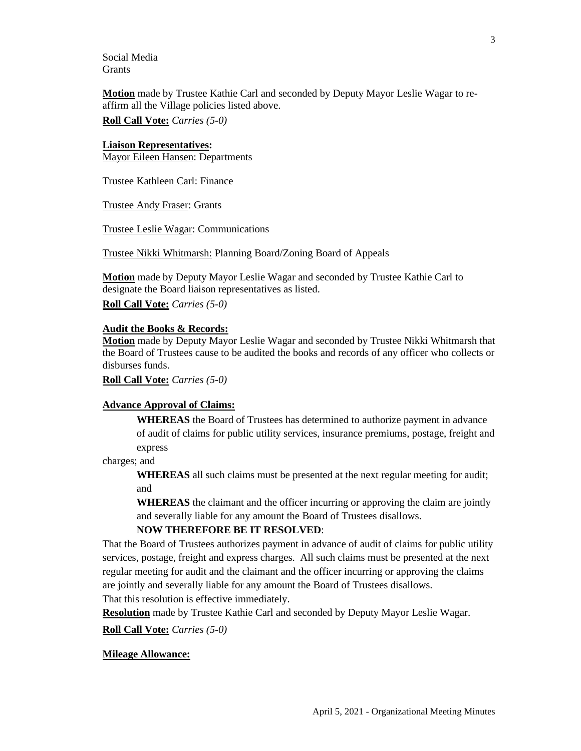Social Media **Grants** 

**Motion** made by Trustee Kathie Carl and seconded by Deputy Mayor Leslie Wagar to reaffirm all the Village policies listed above.

**Roll Call Vote:** *Carries (5-0)*

#### **Liaison Representatives:**

Mayor Eileen Hansen: Departments

Trustee Kathleen Carl: Finance

Trustee Andy Fraser: Grants

Trustee Leslie Wagar: Communications

Trustee Nikki Whitmarsh: Planning Board/Zoning Board of Appeals

**Motion** made by Deputy Mayor Leslie Wagar and seconded by Trustee Kathie Carl to designate the Board liaison representatives as listed.

**Roll Call Vote:** *Carries (5-0)*

#### **Audit the Books & Records:**

**Motion** made by Deputy Mayor Leslie Wagar and seconded by Trustee Nikki Whitmarsh that the Board of Trustees cause to be audited the books and records of any officer who collects or disburses funds.

**Roll Call Vote:** *Carries (5-0)*

### **Advance Approval of Claims:**

**WHEREAS** the Board of Trustees has determined to authorize payment in advance of audit of claims for public utility services, insurance premiums, postage, freight and express

charges; and

**WHEREAS** all such claims must be presented at the next regular meeting for audit; and

**WHEREAS** the claimant and the officer incurring or approving the claim are jointly and severally liable for any amount the Board of Trustees disallows.

#### **NOW THEREFORE BE IT RESOLVED**:

That the Board of Trustees authorizes payment in advance of audit of claims for public utility services, postage, freight and express charges. All such claims must be presented at the next regular meeting for audit and the claimant and the officer incurring or approving the claims are jointly and severally liable for any amount the Board of Trustees disallows.

That this resolution is effective immediately.

**Resolution** made by Trustee Kathie Carl and seconded by Deputy Mayor Leslie Wagar.

**Roll Call Vote:** *Carries (5-0)*

### **Mileage Allowance:**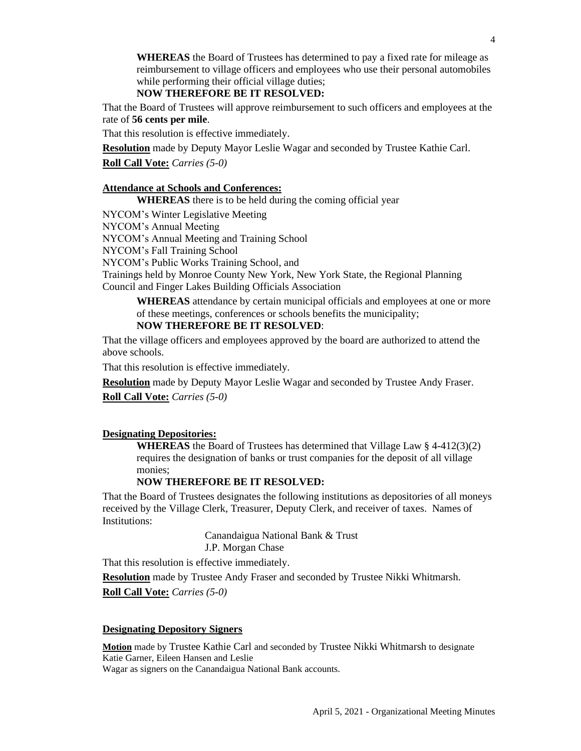**WHEREAS** the Board of Trustees has determined to pay a fixed rate for mileage as reimbursement to village officers and employees who use their personal automobiles while performing their official village duties;

# **NOW THEREFORE BE IT RESOLVED:**

That the Board of Trustees will approve reimbursement to such officers and employees at the rate of **56 cents per mile**.

That this resolution is effective immediately.

**Resolution** made by Deputy Mayor Leslie Wagar and seconded by Trustee Kathie Carl.

**Roll Call Vote:** *Carries (5-0)*

# **Attendance at Schools and Conferences:**

**WHEREAS** there is to be held during the coming official year

NYCOM's Winter Legislative Meeting

NYCOM's Annual Meeting

NYCOM's Annual Meeting and Training School

NYCOM's Fall Training School

NYCOM's Public Works Training School, and

Trainings held by Monroe County New York, New York State, the Regional Planning Council and Finger Lakes Building Officials Association

**WHEREAS** attendance by certain municipal officials and employees at one or more of these meetings, conferences or schools benefits the municipality;

# **NOW THEREFORE BE IT RESOLVED**:

That the village officers and employees approved by the board are authorized to attend the above schools.

That this resolution is effective immediately.

**Resolution** made by Deputy Mayor Leslie Wagar and seconded by Trustee Andy Fraser.

**Roll Call Vote:** *Carries (5-0)*

# **Designating Depositories:**

**WHEREAS** the Board of Trustees has determined that Village Law § 4-412(3)(2) requires the designation of banks or trust companies for the deposit of all village monies;

### **NOW THEREFORE BE IT RESOLVED:**

That the Board of Trustees designates the following institutions as depositories of all moneys received by the Village Clerk, Treasurer, Deputy Clerk, and receiver of taxes. Names of Institutions:

> Canandaigua National Bank & Trust J.P. Morgan Chase

That this resolution is effective immediately.

**Resolution** made by Trustee Andy Fraser and seconded by Trustee Nikki Whitmarsh. **Roll Call Vote:** *Carries (5-0)*

#### **Designating Depository Signers**

**Motion** made by Trustee Kathie Carl and seconded by Trustee Nikki Whitmarsh to designate Katie Garner, Eileen Hansen and Leslie Wagar as signers on the Canandaigua National Bank accounts.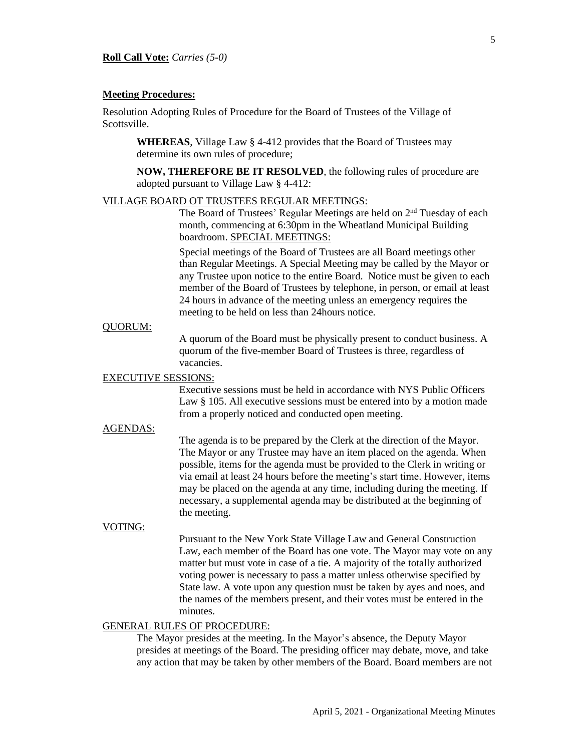#### **Meeting Procedures:**

Resolution Adopting Rules of Procedure for the Board of Trustees of the Village of Scottsville.

**WHEREAS**, Village Law § 4-412 provides that the Board of Trustees may determine its own rules of procedure;

**NOW, THEREFORE BE IT RESOLVED**, the following rules of procedure are adopted pursuant to Village Law § 4-412:

#### VILLAGE BOARD OT TRUSTEES REGULAR MEETINGS:

The Board of Trustees' Regular Meetings are held on 2<sup>nd</sup> Tuesday of each month, commencing at 6:30pm in the Wheatland Municipal Building boardroom. SPECIAL MEETINGS:

Special meetings of the Board of Trustees are all Board meetings other than Regular Meetings. A Special Meeting may be called by the Mayor or any Trustee upon notice to the entire Board. Notice must be given to each member of the Board of Trustees by telephone, in person, or email at least 24 hours in advance of the meeting unless an emergency requires the meeting to be held on less than 24hours notice.

#### QUORUM:

A quorum of the Board must be physically present to conduct business. A quorum of the five-member Board of Trustees is three, regardless of vacancies.

# EXECUTIVE SESSIONS:

Executive sessions must be held in accordance with NYS Public Officers Law § 105. All executive sessions must be entered into by a motion made from a properly noticed and conducted open meeting.

# AGENDAS:

The agenda is to be prepared by the Clerk at the direction of the Mayor. The Mayor or any Trustee may have an item placed on the agenda. When possible, items for the agenda must be provided to the Clerk in writing or via email at least 24 hours before the meeting's start time. However, items may be placed on the agenda at any time, including during the meeting. If necessary, a supplemental agenda may be distributed at the beginning of the meeting.

#### VOTING:

Pursuant to the New York State Village Law and General Construction Law, each member of the Board has one vote. The Mayor may vote on any matter but must vote in case of a tie. A majority of the totally authorized voting power is necessary to pass a matter unless otherwise specified by State law. A vote upon any question must be taken by ayes and noes, and the names of the members present, and their votes must be entered in the minutes.

# GENERAL RULES OF PROCEDURE:

The Mayor presides at the meeting. In the Mayor's absence, the Deputy Mayor presides at meetings of the Board. The presiding officer may debate, move, and take any action that may be taken by other members of the Board. Board members are not